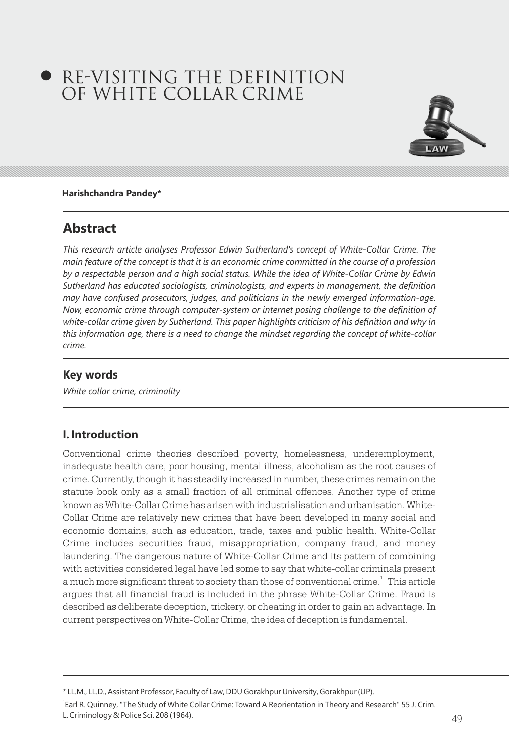# RE-VISITING THE DEFINITION OF WHITE COLLAR CRIME



#### **Harishchandra Pandey\***

## **Abstract**

*This research article analyses Professor Edwin Sutherland's concept of White-Collar Crime. The main feature of the concept is that it is an economic crime committed in the course of a profession by a respectable person and a high social status. While the idea of White-Collar Crime by Edwin Sutherland has educated sociologists, criminologists, and experts in management, the definition may have confused prosecutors, judges, and politicians in the newly emerged information-age. Now, economic crime through computer-system or internet posing challenge to the definition of*  white-collar crime given by Sutherland. This paper highlights criticism of his definition and why in *this information age, there is a need to change the mindset regarding the concept of white-collar crime.*

#### **Key words**

*White collar crime, criminality*

#### **I. Introduction**

Conventional crime theories described poverty, homelessness, underemployment, inadequate health care, poor housing, mental illness, alcoholism as the root causes of crime. Currently, though it has steadily increased in number, these crimes remain on the statute book only as a small fraction of all criminal offences. Another type of crime known as White-Collar Crime has arisen with industrialisation and urbanisation. White-Collar Crime are relatively new crimes that have been developed in many social and economic domains, such as education, trade, taxes and public health. White-Collar Crime includes securities fraud, misappropriation, company fraud, and money laundering. The dangerous nature of White-Collar Crime and its pattern of combining with activities considered legal have led some to say that white-collar criminals present a much more significant threat to society than those of conventional crime.<sup>1</sup> This article argues that all financial fraud is included in the phrase White-Collar Crime. Fraud is described as deliberate deception, trickery, or cheating in order to gain an advantage. In current perspectives on White-Collar Crime, the idea of deception is fundamental.

<sup>\*</sup> LL.M., LL.D., Assistant Professor, Faculty of Law, DDU Gorakhpur University, Gorakhpur (UP).

<sup>&</sup>lt;sup>1</sup>Earl R. Quinney, "The Study of White Collar Crime: Toward A Reorientation in Theory and Research" 55 J. Crim. L. Criminology & Police Sci. 208 (1964). L. Criminology & Police Sci. 208 (1964).  $49$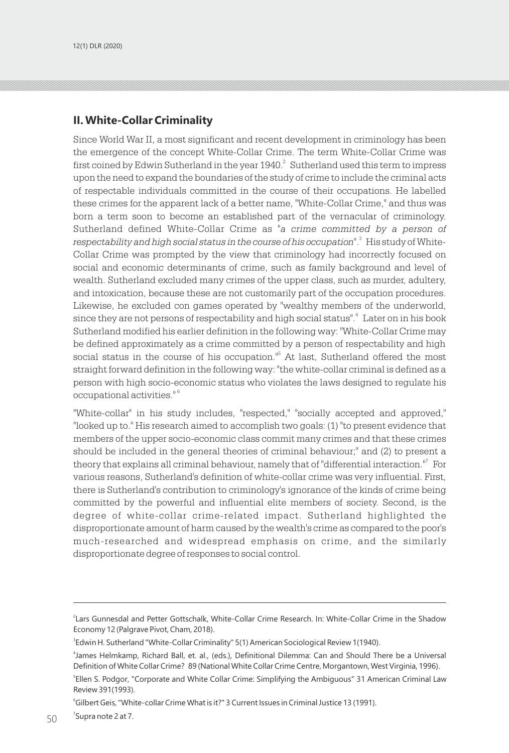#### **II. White-Collar Criminality**

Since World War II, a most significant and recent development in criminology has been the emergence of the concept White-Collar Crime. The term White-Collar Crime was first coined by Edwin Sutherland in the year  $1940<sup>2</sup>$  Sutherland used this term to impress upon the need to expand the boundaries of the study of crime to include the criminal acts of respectable individuals committed in the course of their occupations. He labelled these crimes for the apparent lack of a better name, "White-Collar Crime," and thus was born a term soon to become an established part of the vernacular of criminology. Sutherland defined White-Collar Crime as *"a crime committed by a person of*  3 *respectability and high social status in the course of his occupation"*. His study of White-Collar Crime was prompted by the view that criminology had incorrectly focused on social and economic determinants of crime, such as family background and level of wealth. Sutherland excluded many crimes of the upper class, such as murder, adultery, and intoxication, because these are not customarily part of the occupation procedures. Likewise, he excluded con games operated by "wealthy members of the underworld, since they are not persons of respectability and high social status".<sup>4</sup> Later on in his book Sutherland modified his earlier definition in the following way: "White-Collar Crime may be defined approximately as a crime committed by a person of respectability and high social status in the course of his occupation."<sup>5</sup> At last, Sutherland offered the most straight forward definition in the following way: "the white-collar criminal is defined as a person with high socio-economic status who violates the laws designed to regulate his occupational activities." <sup>6</sup>

"White-collar" in his study includes, "respected," "socially accepted and approved," "looked up to." His research aimed to accomplish two goals: (1) "to present evidence that members of the upper socio-economic class commit many crimes and that these crimes should be included in the general theories of criminal behaviour;" and (2) to present a theory that explains all criminal behaviour, namely that of "differential interaction." ${}^{7}$  For various reasons, Sutherland's definition of white-collar crime was very influential. First, there is Sutherland's contribution to criminology's ignorance of the kinds of crime being committed by the powerful and influential elite members of society. Second, is the degree of white-collar crime-related impact. Sutherland highlighted the disproportionate amount of harm caused by the wealth's crime as compared to the poor's much-researched and widespread emphasis on crime, and the similarly disproportionate degree of responses to social control.

<sup>6</sup>Gilbert Geis, "White-collar Crime What is it?" 3 Current Issues in Criminal Justice 13 (1991).

<sup>2</sup> Lars Gunnesdal and Petter Gottschalk, White-Collar Crime Research. In: White-Collar Crime in the Shadow Economy 12 (Palgrave Pivot, Cham, 2018).

<sup>3</sup> Edwin H. Sutherland "White-Collar Criminality" 5(1) American Sociological Review 1(1940).

<sup>4</sup> James Helmkamp, Richard Ball, et. al., (eds.), Definitional Dilemma: Can and Should There be a Universal Definition of White Collar Crime? 89 (National White Collar Crime Centre, Morgantown, West Virginia, 1996).

<sup>5</sup> Ellen S. Podgor, "Corporate and White Collar Crime: Simplifying the Ambiguous" 31 American Criminal Law Review 391(1993).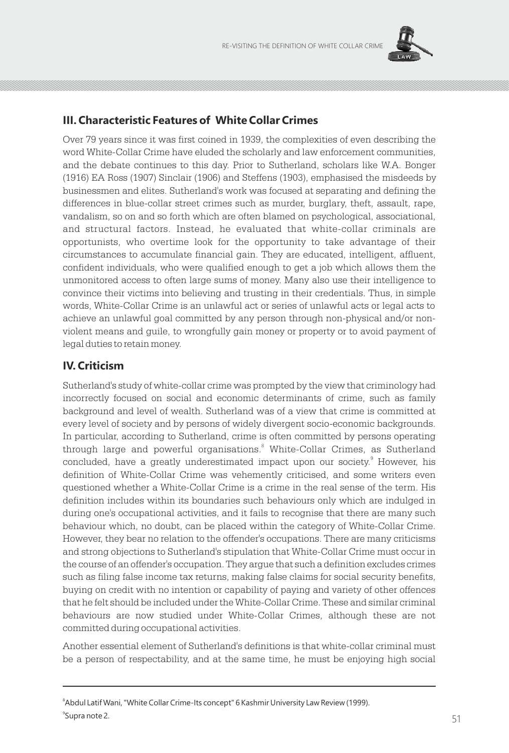

### **II. White-Collar Criminality III. Characteristic Features of White Collar Crimes**

Over 79 years since it was first coined in 1939, the complexities of even describing the word White-Collar Crime have eluded the scholarly and law enforcement communities, and the debate continues to this day. Prior to Sutherland, scholars like W.A. Bonger (1916) EA Ross (1907) Sinclair (1906) and Steffens (1903), emphasised the misdeeds by businessmen and elites. Sutherland's work was focused at separating and defining the differences in blue-collar street crimes such as murder, burglary, theft, assault, rape, vandalism, so on and so forth which are often blamed on psychological, associational, and structural factors. Instead, he evaluated that white-collar criminals are opportunists, who overtime look for the opportunity to take advantage of their circumstances to accumulate financial gain. They are educated, intelligent, affluent, confident individuals, who were qualified enough to get a job which allows them the unmonitored access to often large sums of money. Many also use their intelligence to convince their victims into believing and trusting in their credentials. Thus, in simple words, White-Collar Crime is an unlawful act or series of unlawful acts or legal acts to achieve an unlawful goal committed by any person through non-physical and/or nonviolent means and guile, to wrongfully gain money or property or to avoid payment of legal duties to retain money.

#### **IV. Criticism**

Sutherland's study of white-collar crime was prompted by the view that criminology had incorrectly focused on social and economic determinants of crime, such as family background and level of wealth. Sutherland was of a view that crime is committed at every level of society and by persons of widely divergent socio-economic backgrounds. In particular, according to Sutherland, crime is often committed by persons operating through large and powerful organisations.<sup>8</sup> White-Collar Crimes, as Sutherland concluded, have a greatly underestimated impact upon our society. However, his <sup>9</sup> definition of White-Collar Crime was vehemently criticised, and some writers even questioned whether a White-Collar Crime is a crime in the real sense of the term. His definition includes within its boundaries such behaviours only which are indulged in during one's occupational activities, and it fails to recognise that there are many such behaviour which, no doubt, can be placed within the category of White-Collar Crime. However, they bear no relation to the offender's occupations. There are many criticisms and strong objections to Sutherland's stipulation that White-Collar Crime must occur in the course of an offender's occupation. They argue that such a definition excludes crimes such as filing false income tax returns, making false claims for social security benefits, buying on credit with no intention or capability of paying and variety of other offences that he felt should be included under the White-Collar Crime. These and similar criminal behaviours are now studied under White-Collar Crimes, although these are not committed during occupational activities.

Another essential element of Sutherland's definitions is that white-collar criminal must be a person of respectability, and at the same time, he must be enjoying high social

Supra note 2.  $51$ Supra note 2 at 7. 9<br>Supra note 2 at 7. 9<br>Supra note 2 at 7. 9 <sup>9</sup>Supra note 2. 8 Abdul Latif Wani, "White Collar Crime-Its concept" 6 Kashmir University Law Review (1999).